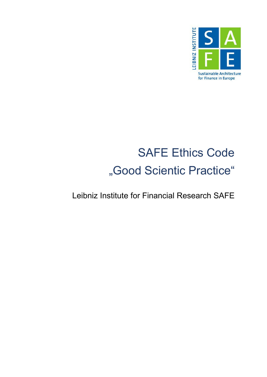

# SAFE Ethics Code "Good Scientic Practice"

Leibniz Institute for Financial Research SAFE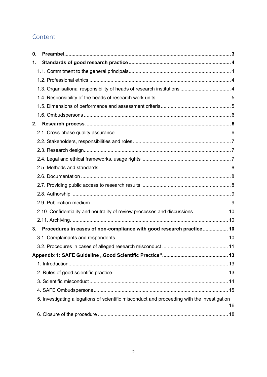# Content

| 0. |                                                                                             |  |
|----|---------------------------------------------------------------------------------------------|--|
| 1. |                                                                                             |  |
|    |                                                                                             |  |
|    |                                                                                             |  |
|    | 1.3. Organisational responsibility of heads of research institutions  4                     |  |
|    |                                                                                             |  |
|    |                                                                                             |  |
|    |                                                                                             |  |
| 2. |                                                                                             |  |
|    |                                                                                             |  |
|    |                                                                                             |  |
|    |                                                                                             |  |
|    |                                                                                             |  |
|    |                                                                                             |  |
|    |                                                                                             |  |
|    |                                                                                             |  |
|    |                                                                                             |  |
|    |                                                                                             |  |
|    | 2.10. Confidentiality and neutrality of review processes and discussions 10                 |  |
|    |                                                                                             |  |
| 3. | Procedures in cases of non-compliance with good research practice 10                        |  |
|    |                                                                                             |  |
|    |                                                                                             |  |
|    |                                                                                             |  |
|    |                                                                                             |  |
|    |                                                                                             |  |
|    |                                                                                             |  |
|    |                                                                                             |  |
|    | 5. Investigating allegations of scientific misconduct and proceeding with the investigation |  |
|    |                                                                                             |  |
|    |                                                                                             |  |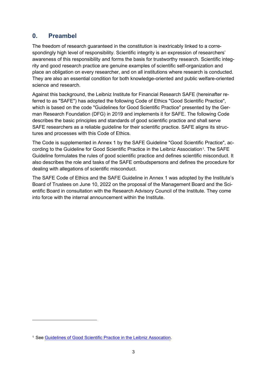# <span id="page-2-0"></span>**0. Preambel**

The freedom of research guaranteed in the constitution is inextricably linked to a correspondingly high level of responsibility. Scientific integrity is an expression of researchers' awareness of this responsibility and forms the basis for trustworthy research. Scientific integrity and good research practice are genuine examples of scientific self-organization and place an obligation on every researcher, and on all institutions where research is conducted. They are also an essential condition for both knowledge-oriented and public welfare-oriented science and research.

Against this background, the Leibniz Institute for Financial Research SAFE (hereinafter referred to as "SAFE") has adopted the following Code of Ethics "Good Scientific Practice", which is based on the code "Guidelines for Good Scientific Practice" presented by the German Research Foundation (DFG) in 2019 and implements it for SAFE. The following Code describes the basic principles and standards of good scientific practice and shall serve SAFE researchers as a reliable guideline for their scientific practice. SAFE aligns its structures and processes with this Code of Ethics.

The Code is supplemented in Annex 1 by the SAFE Guideline "Good Scientific Practice", ac-cording to the Guideline for Good Scientific Practice in the Leibniz Association<sup>[1](#page-2-1)</sup>. The SAFE Guideline formulates the rules of good scientific practice and defines scientific misconduct. It also describes the role and tasks of the SAFE ombudspersons and defines the procedure for dealing with allegations of scientific misconduct.

The SAFE Code of Ethics and the SAFE Guideline in Annex 1 was adopted by the Institute's Board of Trustees on June 10, 2022 on the proposal of the Management Board and the Scientific Board in consultation with the Research Advisory Council of the Institute. They come into force with the internal announcement within the Institute.

<span id="page-2-1"></span><sup>1</sup> See [Guidelines of Good Scientific Practice in the Leibniz Assocation.](https://www.leibniz-gemeinschaft.de/fileadmin/user_upload/Bilder_und_Downloads/%C3%9Cber_uns/Integrit%C3%A4t/Guidelines_for_Good_Scientific_Practice_in_the_Leibniz_Association.pdf)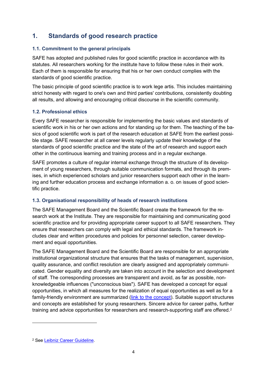# <span id="page-3-0"></span>**1. Standards of good research practice**

## <span id="page-3-1"></span>**1.1. Commitment to the general principals**

SAFE has adopted and published rules for good scientific practice in accordance with its statutes. All researchers working for the institute have to follow these rules in their work. Each of them is responsible for ensuring that his or her own conduct complies with the standards of good scientific practice.

The basic principle of good scientific practice is to work lege artis. This includes maintaining strict honesty with regard to one's own and third parties' contributions, consistently doubting all results, and allowing and encouraging critical discourse in the scientific community.

## <span id="page-3-2"></span>**1.2. Professional ethics**

Every SAFE researcher is responsible for implementing the basic values and standards of scientific work in his or her own actions and for standing up for them. The teaching of the basics of good scientific work is part of the research education at SAFE from the earliest possible stage. SAFE researcher at all career levels regularly update their knowledge of the standards of good scientific practice and the state of the art of research and support each other in the continuous learning and training process and in a regular exchange.

SAFE promotes a culture of regular internal exchange through the structure of its development of young researchers, through suitable communication formats, and through its premises, in which experienced scholars and junior researchers support each other in the learning and further education process and exchange information a. o. on issues of good scientific practice.

## <span id="page-3-3"></span>**1.3. Organisational responsibility of heads of research institutions**

The SAFE Management Board and the Scientific Board create the framework for the research work at the Institute. They are responsible for maintaining and communicating good scientific practice and for providing appropriate career support to all SAFE researchers. They ensure that researchers can comply with legal and ethical standards. The framework includes clear and written procedures and policies for personnel selection, career development and equal opportunities.

The SAFE Management Board and the Scientific Board are responsible for an appropriate institutional organizational structure that ensures that the tasks of management, supervision, quality assurance, and conflict resolution are clearly assigned and appropriately communicated. Gender equality and diversity are taken into account in the selection and development of staff. The corresponding processes are transparent and avoid, as far as possible, nonknowledgeable influences ("unconscious bias"). SAFE has developed a concept for equal opportunities, in which all measures for the realization of equal opportunities as well as for a family-friendly environment are summarized [\(link to the concept\)](https://safe-frankfurt.de/about-safe/equal-opportunities.html). Suitable support structures and concepts are established for young researchers. Sincere advice for career paths, further training and advice opportunities for researchers and research-supporting staff are offered.<sup>[2](#page-3-4)</sup>

<span id="page-3-4"></span><sup>2</sup> See [Leibniz Career Guideline.](https://www.leibniz-gemeinschaft.de/en/about-us/whats-new/media-centre/publications/career-guidelines-of-the-leibniz-association)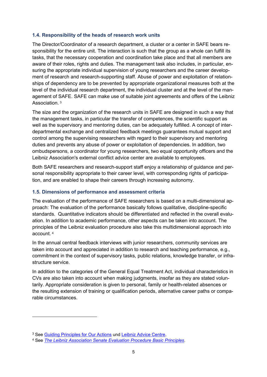#### <span id="page-4-0"></span>**1.4. Responsibility of the heads of research work units**

The Director/Coordinator of a research department, a cluster or a center in SAFE bears responsibility for the entire unit. The interaction is such that the group as a whole can fulfill its tasks, that the necessary cooperation and coordination take place and that all members are aware of their roles, rights and duties. The management task also includes, in particular, ensuring the appropriate individual supervision of young researchers and the career development of research and research-supporting staff. Abuse of power and exploitation of relationships of dependency are to be prevented by appropriate organizational measures both at the level of the individual research department, the individual cluster and at the level of the management of SAFE. SAFE can make use of suitable joint agreements and offers of the Leibniz Association. [3](#page-4-2)

The size and the organization of the research units in SAFE are designed in such a way that the management tasks, in particular the transfer of competences, the scientific support as well as the supervisory and mentoring duties, can be adequately fulfilled. A concept of interdepartmental exchange and centralized feedback meetings guarantees mutual support and control among the supervising researchers with regard to their supervisory and mentoring duties and prevents any abuse of power or exploitation of dependencies. In addition, two ombudspersons, a coordinator for young researchers, two equal opportunity officers and the Leibniz Association's external conflict advice center are available to employees.

Both SAFE researchers and research-support staff enjoy a relationship of guidance and personal responsibility appropriate to their career level, with corresponding rights of participation, and are enabled to shape their careers through increasing autonomy.

## <span id="page-4-1"></span>**1.5. Dimensions of performance and assessment criteria**

The evaluation of the performance of SAFE researchers is based on a multi-dimensional approach: The evaluation of the performance basically follows qualitative, discipline-specific standards. Quantitative indicators should be differentiated and reflected in the overall evaluation. In addition to academic performance, other aspects can be taken into account. The principles of the Leibniz evaluation procedure also take this multidimensional approach into account. [4](#page-4-3)

In the annual central feedback interviews with junior researchers, community services are taken into account and appreciated in addition to research and teaching performance, e.g., commitment in the context of supervisory tasks, public relations, knowledge transfer, or infrastructure service.

In addition to the categories of the General Equal Treatment Act, individual characteristics in CVs are also taken into account when making judgments, insofar as they are stated voluntarily. Appropriate consideration is given to personal, family or health-related absences or the resulting extension of training or qualification periods, alternative career paths or comparable circumstances.

<span id="page-4-2"></span><sup>3</sup> See [Guiding Principles for Our Actions](https://www.leibniz-gemeinschaft.de/fileadmin/user_upload/Bilder_und_Downloads/%C3%9Cber_uns/Integrit%C3%A4t/Guiding_Principles_for_our_Actions.pdf) und [Leibniz Advice Centre.](https://www.leibniz-gemeinschaft.de/en/about-us/leibniz-integrity/guide-for-dealing-with-conflict/advice-centre-for-conflict-guidance-and-prevention)

<span id="page-4-3"></span><sup>4</sup> See *[The Leibniz Association Senate Evaluation Procedure Basic Principles](https://www.leibniz-gemeinschaft.de/fileadmin/user_upload/Bilder_und_Downloads/%C3%9Cber_uns/Evaluierung/Leibniz_Senate_Evaluation_Procedure_-_Basic_Principles__without_attachments_-1.pdf)*.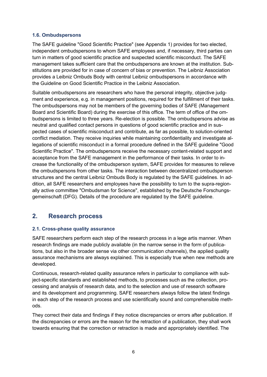#### <span id="page-5-0"></span>**1.6. Ombudspersons**

The SAFE guideline "Good Scientific Practice" (see Appendix 1) provides for two elected, independent ombudspersons to whom SAFE employees and, if necessary, third parties can turn in matters of good scientific practice and suspected scientific misconduct. The SAFE management takes sufficient care that the ombudspersons are known at the institution. Substitutions are provided for in case of concern of bias or prevention. The Leibniz Association provides a Leibniz Ombuds Body with central Leibniz ombudspersons in accordance with the Guideline on Good Scientific Practice in the Leibniz Association.

Suitable ombudspersons are researchers who have the personal integrity, objective judgment and experience, e.g. in management positions, required for the fulfillment of their tasks. The ombudspersons may not be members of the governing bodies of SAFE (Management Board and Scientific Board) during the exercise of this office. The term of office of the ombudspersons is limited to three years. Re-election is possible. The ombudspersons advise as neutral and qualified contact persons in questions of good scientific practice and in suspected cases of scientific misconduct and contribute, as far as possible, to solution-oriented conflict mediation. They receive inquiries while maintaining confidentiality and investigate allegations of scientific misconduct in a formal procedure defined in the SAFE guideline "Good Scientific Practice". The ombudspersons receive the necessary content-related support and acceptance from the SAFE management in the performance of their tasks. In order to increase the functionality of the ombudsperson system, SAFE provides for measures to relieve the ombudspersons from other tasks. The interaction between decentralized ombudsperson structures and the central Leibniz Ombuds Body is regulated by the SAFE guidelines. In addition, all SAFE researchers and employees have the possibility to turn to the supra-regionally active committee "Ombudsman for Science", established by the Deutsche Forschungsgemeinschaft (DFG). Details of the procedure are regulated by the SAFE guideline.

# <span id="page-5-1"></span>**2. Research process**

## <span id="page-5-2"></span>**2.1. Cross-phase quality assurance**

SAFE researchers perform each step of the research process in a lege artis manner. When research findings are made publicly available (in the narrow sense in the form of publications, but also in the broader sense via other communication channels), the applied quality assurance mechanisms are always explained. This is especially true when new methods are developed.

Continuous, research-related quality assurance refers in particular to compliance with subject-specific standards and established methods, to processes such as the collection, processing and analysis of research data, and to the selection and use of research software and its development and programming. SAFE researchers always follow the latest findings in each step of the research process and use scientifically sound and comprehensible methods.

They correct their data and findings if they notice discrepancies or errors after publication. If the discrepancies or errors are the reason for the retraction of a publication, they shall work towards ensuring that the correction or retraction is made and appropriately identified. The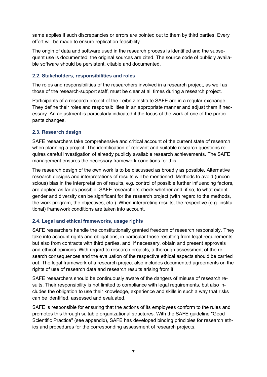same applies if such discrepancies or errors are pointed out to them by third parties. Every effort will be made to ensure replication feasibility.

The origin of data and software used in the research process is identified and the subsequent use is documented; the original sources are cited. The source code of publicly available software should be persistent, citable and documented.

#### <span id="page-6-0"></span>**2.2. Stakeholders, responsibilities and roles**

The roles and responsibilities of the researchers involved in a research project, as well as those of the research-support staff, must be clear at all times during a research project.

Participants of a research project of the Leibniz Institute SAFE are in a regular exchange. They define their roles and responsibilities in an appropriate manner and adjust them if necessary. An adjustment is particularly indicated if the focus of the work of one of the participants changes.

#### <span id="page-6-1"></span>**2.3. Research design**

SAFE researchers take comprehensive and critical account of the current state of research when planning a project. The identification of relevant and suitable research questions requires careful investigation of already publicly available research achievements. The SAFE management ensures the necessary framework conditions for this.

The research design of the own work is to be discussed as broadly as possible. Alternative research designs and interpretations of results will be mentioned. Methods to avoid (unconscious) bias in the interpretation of results, e.g. control of possible further influencing factors, are applied as far as possible. SAFE researchers check whether and, if so, to what extent gender and diversity can be significant for the research project (with regard to the methods, the work program, the objectives, etc.). When interpreting results, the respective (e.g. institutional) framework conditions are taken into account.

## <span id="page-6-2"></span>**2.4. Legal and ethical frameworks, usage rights**

SAFE researchers handle the constitutionally granted freedom of research responsibly. They take into account rights and obligations, in particular those resulting from legal requirements, but also from contracts with third parties, and, if necessary, obtain and present approvals and ethical opinions. With regard to research projects, a thorough assessment of the research consequences and the evaluation of the respective ethical aspects should be carried out. The legal framework of a research project also includes documented agreements on the rights of use of research data and research results arising from it.

SAFE researchers should be continuously aware of the dangers of misuse of research results. Their responsibility is not limited to compliance with legal requirements, but also includes the obligation to use their knowledge, experience and skills in such a way that risks can be identified, assessed and evaluated.

SAFE is responsible for ensuring that the actions of its employees conform to the rules and promotes this through suitable organizational structures. With the SAFE guideline "Good Scientific Practice" (see appendix), SAFE has developed binding principles for research ethics and procedures for the corresponding assessment of research projects.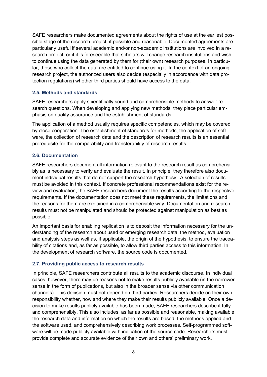SAFE researchers make documented agreements about the rights of use at the earliest possible stage of the research project, if possible and reasonable. Documented agreements are particularly useful if several academic and/or non-academic institutions are involved in a research project, or if it is foreseeable that scholars will change research institutions and wish to continue using the data generated by them for (their own) research purposes. In particular, those who collect the data are entitled to continue using it. In the context of an ongoing research project, the authorized users also decide (especially in accordance with data protection regulations) whether third parties should have access to the data.

#### <span id="page-7-0"></span>**2.5. Methods and standards**

SAFE researchers apply scientifically sound and comprehensible methods to answer research questions. When developing and applying new methods, they place particular emphasis on quality assurance and the establishment of standards.

The application of a method usually requires specific competencies, which may be covered by close cooperation. The establishment of standards for methods, the application of software, the collection of research data and the description of research results is an essential prerequisite for the comparability and transferability of research results.

#### <span id="page-7-1"></span>**2.6. Documentation**

SAFE researchers document all information relevant to the research result as comprehensibly as is necessary to verify and evaluate the result. In principle, they therefore also document individual results that do not support the research hypothesis. A selection of results must be avoided in this context. If concrete professional recommendations exist for the review and evaluation, the SAFE researchers document the results according to the respective requirements. If the documentation does not meet these requirements, the limitations and the reasons for them are explained in a comprehensible way. Documentation and research results must not be manipulated and should be protected against manipulation as best as possible.

An important basis for enabling replication is to deposit the information necessary for the understanding of the research about used or emerging research data, the method, evaluation and analysis steps as well as, if applicable, the origin of the hypothesis, to ensure the traceability of citations and, as far as possible, to allow third parties access to this information. In the development of research software, the source code is documented.

#### <span id="page-7-2"></span>**2.7. Providing public access to research results**

In principle, SAFE researchers contribute all results to the academic discourse. In individual cases, however, there may be reasons not to make results publicly available (in the narrower sense in the form of publications, but also in the broader sense via other communication channels). This decision must not depend on third parties. Researchers decide on their own responsibility whether, how and where they make their results publicly available. Once a decision to make results publicly available has been made, SAFE researchers describe it fully and comprehensibly. This also includes, as far as possible and reasonable, making available the research data and information on which the results are based, the methods applied and the software used, and comprehensively describing work processes. Self-programmed software will be made publicly available with indication of the source code. Researchers must provide complete and accurate evidence of their own and others' preliminary work.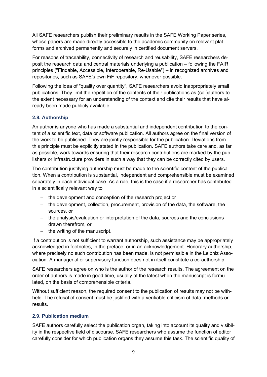All SAFE researchers publish their preliminary results in the SAFE Working Paper series, whose papers are made directly accessible to the academic community on relevant platforms and archived permanently and securely in certified document servers.

For reasons of traceability, connectivity of research and reusability, SAFE researchers deposit the research data and central materials underlying a publication – following the FAIR principles ("Findable, Accessible, Interoperable, Re-Usable") – in recognized archives and repositories, such as SAFE's own FiF repository, whenever possible.

Following the idea of "quality over quantity", SAFE researchers avoid inappropriately small publications. They limit the repetition of the contents of their publications as (co-)authors to the extent necessary for an understanding of the context and cite their results that have already been made publicly available.

## <span id="page-8-0"></span>**2.8. Authorship**

An author is anyone who has made a substantial and independent contribution to the content of a scientific text, data or software publication. All authors agree on the final version of the work to be published. They are jointly responsible for the publication. Deviations from this principle must be explicitly stated in the publication. SAFE authors take care and, as far as possible, work towards ensuring that their research contributions are marked by the publishers or infrastructure providers in such a way that they can be correctly cited by users.

The contribution justifying authorship must be made to the scientific content of the publication. When a contribution is substantial, independent and comprehensible must be examined separately in each individual case. As a rule, this is the case if a researcher has contributed in a scientifically relevant way to

- − the development and conception of the research project or
- − the development, collection, procurement, provision of the data, the software, the sources, or
- − the analysis/evaluation or interpretation of the data, sources and the conclusions drawn therefrom, or
- the writing of the manuscript.

If a contribution is not sufficient to warrant authorship, such assistance may be appropriately acknowledged in footnotes, in the preface, or in an acknowledgement. Honorary authorship, where precisely no such contribution has been made, is not permissible in the Leibniz Association. A managerial or supervisory function does not in itself constitute a co-authorship.

SAFE researchers agree on who is the author of the research results. The agreement on the order of authors is made in good time, usually at the latest when the manuscript is formulated, on the basis of comprehensible criteria.

Without sufficient reason, the required consent to the publication of results may not be withheld. The refusal of consent must be justified with a verifiable criticism of data, methods or results.

## <span id="page-8-1"></span>**2.9. Publication medium**

SAFE authors carefully select the publication organ, taking into account its quality and visibility in the respective field of discourse. SAFE researchers who assume the function of editor carefully consider for which publication organs they assume this task. The scientific quality of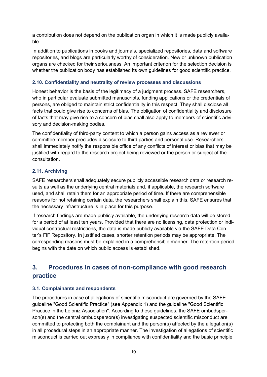a contribution does not depend on the publication organ in which it is made publicly available.

In addition to publications in books and journals, specialized repositories, data and software repositories, and blogs are particularly worthy of consideration. New or unknown publication organs are checked for their seriousness. An important criterion for the selection decision is whether the publication body has established its own guidelines for good scientific practice.

#### <span id="page-9-0"></span>**2.10. Confidentiality and neutrality of review processes and discussions**

Honest behavior is the basis of the legitimacy of a judgment process. SAFE researchers, who in particular evaluate submitted manuscripts, funding applications or the credentials of persons, are obliged to maintain strict confidentiality in this respect. They shall disclose all facts that could give rise to concerns of bias. The obligation of confidentiality and disclosure of facts that may give rise to a concern of bias shall also apply to members of scientific advisory and decision-making bodies.

The confidentiality of third-party content to which a person gains access as a reviewer or committee member precludes disclosure to third parties and personal use. Researchers shall immediately notify the responsible office of any conflicts of interest or bias that may be justified with regard to the research project being reviewed or the person or subject of the consultation.

## <span id="page-9-1"></span>**2.11. Archiving**

SAFE researchers shall adequately secure publicly accessible research data or research results as well as the underlying central materials and, if applicable, the research software used, and shall retain them for an appropriate period of time. If there are comprehensible reasons for not retaining certain data, the researchers shall explain this. SAFE ensures that the necessary infrastructure is in place for this purpose.

If research findings are made publicly available, the underlying research data will be stored for a period of at least ten years. Provided that there are no licensing, data protection or individual contractual restrictions, the data is made publicly available via the SAFE Data Center's FiF Repository. In justified cases, shorter retention periods may be appropriate. The corresponding reasons must be explained in a comprehensible manner. The retention period begins with the date on which public access is established.

# <span id="page-9-2"></span>**3. Procedures in cases of non-compliance with good research practice**

#### <span id="page-9-3"></span>**3.1. Complainants and respondents**

The procedures in case of allegations of scientific misconduct are governed by the SAFE guideline "Good Scientific Practice" (see Appendix 1) and the guideline "Good Scientific Practice in the Leibniz Association". According to these guidelines, the SAFE ombudsperson(s) and the central ombudsperson(s) investigating suspected scientific misconduct are committed to protecting both the complainant and the person(s) affected by the allegation(s) in all procedural steps in an appropriate manner. The investigation of allegations of scientific misconduct is carried out expressly in compliance with confidentiality and the basic principle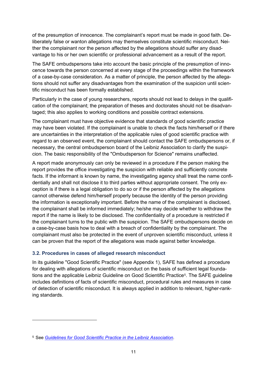of the presumption of innocence. The complainant's report must be made in good faith. Deliberately false or wanton allegations may themselves constitute scientific misconduct. Neither the complainant nor the person affected by the allegations should suffer any disadvantage to his or her own scientific or professional advancement as a result of the report.

The SAFE ombudspersons take into account the basic principle of the presumption of innocence towards the person concerned at every stage of the proceedings within the framework of a case-by-case consideration. As a matter of principle, the person affected by the allegations should not suffer any disadvantages from the examination of the suspicion until scientific misconduct has been formally established.

Particularly in the case of young researchers, reports should not lead to delays in the qualification of the complainant; the preparation of theses and doctorates should not be disadvantaged; this also applies to working conditions and possible contract extensions.

The complainant must have objective evidence that standards of good scientific practice may have been violated. If the complainant is unable to check the facts him/herself or if there are uncertainties in the interpretation of the applicable rules of good scientific practice with regard to an observed event, the complainant should contact the SAFE ombudspersons or, if necessary, the central ombudsperson board of the Leibniz Association to clarify the suspicion. The basic responsibility of the "Ombudsperson for Science" remains unaffected.

A report made anonymously can only be reviewed in a procedure if the person making the report provides the office investigating the suspicion with reliable and sufficiently concrete facts. If the informant is known by name, the investigating agency shall treat the name confidentially and shall not disclose it to third parties without appropriate consent. The only exception is if there is a legal obligation to do so or if the person affected by the allegations cannot otherwise defend him/herself properly because the identity of the person providing the information is exceptionally important. Before the name of the complainant is disclosed, the complainant shall be informed immediately; he/she may decide whether to withdraw the report if the name is likely to be disclosed. The confidentiality of a procedure is restricted if the complainant turns to the public with the suspicion. The SAFE ombudspersons decide on a case-by-case basis how to deal with a breach of confidentiality by the complainant. The complainant must also be protected in the event of unproven scientific misconduct, unless it can be proven that the report of the allegations was made against better knowledge.

## <span id="page-10-0"></span>**3.2. Procedures in cases of alleged research misconduct**

In its guideline "Good Scientific Practice" (see Appendix 1), SAFE has defined a procedure for dealing with allegations of scientific misconduct on the basis of sufficient legal foundations and the applicable Leibniz Guideline on Good Scientific Practice[5](#page-10-1). The SAFE guideline includes definitions of facts of scientific misconduct, procedural rules and measures in case of detection of scientific misconduct. It is always applied in addition to relevant, higher-ranking standards.

<span id="page-10-1"></span><sup>5</sup> See *[Guidelines for Good Scientific Practice in the Leibniz Association](https://www.leibniz-gemeinschaft.de/fileadmin/user_upload/Bilder_und_Downloads/%C3%9Cber_uns/Integrit%C3%A4t/Guidelines_for_Good_Scientific_Practice_in_the_Leibniz_Association.pdf)*.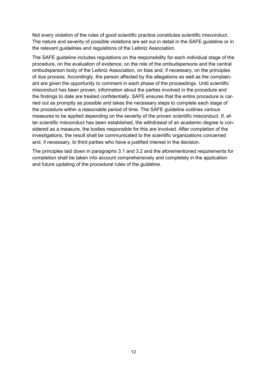Not every violation of the rules of good scientific practice constitutes scientific misconduct. The nature and severity of possible violations are set out in detail in the SAFE guideline or in the relevant guidelines and regulations of the Leibniz Association.

The SAFE guideline includes regulations on the responsibility for each individual stage of the procedure, on the evaluation of evidence, on the role of the ombudspersons and the central ombudsperson body of the Leibniz Association, on bias and, if necessary, on the principles of due process. Accordingly, the person affected by the allegations as well as the complainant are given the opportunity to comment in each phase of the proceedings. Until scientific misconduct has been proven, information about the parties involved in the procedure and the findings to date are treated confidentially. SAFE ensures that the entire procedure is carried out as promptly as possible and takes the necessary steps to complete each stage of the procedure within a reasonable period of time. The SAFE guideline outlines various measures to be applied depending on the severity of the proven scientific misconduct. If, after scientific misconduct has been established, the withdrawal of an academic degree is considered as a measure, the bodies responsible for this are involved. After completion of the investigations, the result shall be communicated to the scientific organizations concerned and, if necessary, to third parties who have a justified interest in the decision.

The principles laid down in paragraphs 3.1 and 3.2 and the aforementioned requirements for completion shall be taken into account comprehensively and completely in the application and future updating of the procedural rules of the guideline.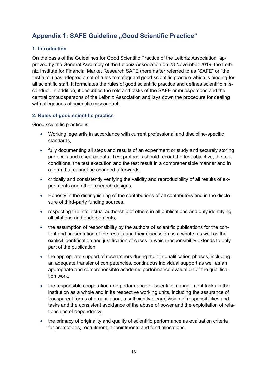# <span id="page-12-0"></span>**Appendix 1: SAFE Guideline "Good Scientific Practice"**

## <span id="page-12-1"></span>**1. Introduction**

On the basis of the Guidelines for Good Scientific Practice of the Leibniz Association, approved by the General Assembly of the Leibniz Association on 28 November 2019, the Leibniz Institute for Financial Market Research SAFE (hereinafter referred to as "SAFE" or "the Institute") has adopted a set of rules to safeguard good scientific practice which is binding for all scientific staff. It formulates the rules of good scientific practice and defines scientific misconduct. In addition, it describes the role and tasks of the SAFE ombudspersons and the central ombudspersons of the Leibniz Association and lays down the procedure for dealing with allegations of scientific misconduct.

## <span id="page-12-2"></span>**2. Rules of good scientific practice**

Good scientific practice is

- Working lege artis in accordance with current professional and discipline-specific standards,
- fully documenting all steps and results of an experiment or study and securely storing protocols and research data. Test protocols should record the test objective, the test conditions, the test execution and the test result in a comprehensible manner and in a form that cannot be changed afterwards,
- critically and consistently verifying the validity and reproducibility of all results of experiments and other research designs,
- Honesty in the distinguishing of the contributions of all contributors and in the disclosure of third-party funding sources,
- respecting the intellectual authorship of others in all publications and duly identifying all citations and endorsements,
- the assumption of responsibility by the authors of scientific publications for the content and presentation of the results and their discussion as a whole, as well as the explicit identification and justification of cases in which responsibility extends to only part of the publication,
- the appropriate support of researchers during their in qualification phases, including an adequate transfer of competencies, continuous individual support as well as an appropriate and comprehensible academic performance evaluation of the qualification work,
- the responsible cooperation and performance of scientific management tasks in the institution as a whole and in its respective working units, including the assurance of transparent forms of organization, a sufficiently clear division of responsibilities and tasks and the consistent avoidance of the abuse of power and the exploitation of relationships of dependency,
- the primacy of originality and quality of scientific performance as evaluation criteria for promotions, recruitment, appointments and fund allocations.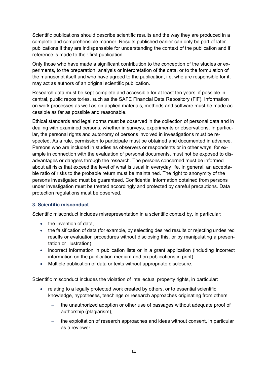Scientific publications should describe scientific results and the way they are produced in a complete and comprehensible manner. Results published earlier can only be part of later publications if they are indispensable for understanding the context of the publication and if reference is made to their first publication.

Only those who have made a significant contribution to the conception of the studies or experiments, to the preparation, analysis or interpretation of the data, or to the formulation of the manuscript itself and who have agreed to the publication, i.e. who are responsible for it, may act as authors of an original scientific publication.

Research data must be kept complete and accessible for at least ten years, if possible in central, public repositories, such as the SAFE Financial Data Repository (FiF). Information on work processes as well as on applied materials, methods and software must be made accessible as far as possible and reasonable.

Ethical standards and legal norms must be observed in the collection of personal data and in dealing with examined persons, whether in surveys, experiments or observations. In particular, the personal rights and autonomy of persons involved in investigations must be respected. As a rule, permission to participate must be obtained and documented in advance. Persons who are included in studies as observers or respondents or in other ways, for example in connection with the evaluation of personal documents, must not be exposed to disadvantages or dangers through the research. The persons concerned must be informed about all risks that exceed the level of what is usual in everyday life. In general, an acceptable ratio of risks to the probable return must be maintained. The right to anonymity of the persons investigated must be guaranteed. Confidential information obtained from persons under investigation must be treated accordingly and protected by careful precautions. Data protection regulations must be observed.

#### <span id="page-13-0"></span>**3. Scientific misconduct**

Scientific misconduct includes misrepresentation in a scientific context by, in particular:

- the invention of data.
- the falsification of data (for example, by selecting desired results or rejecting undesired results or evaluation procedures without disclosing this, or by manipulating a presentation or illustration)
- incorrect information in publication lists or in a grant application (including incorrect information on the publication medium and on publications in print),
- Multiple publication of data or texts without appropriate disclosure.

Scientific misconduct includes the violation of intellectual property rights, in particular:

- relating to a legally protected work created by others, or to essential scientific knowledge, hypotheses, teachings or research approaches originating from others
	- the unauthorized adoption or other use of passages without adequate proof of authorship (plagiarism),
	- the exploitation of research approaches and ideas without consent, in particular as a reviewer,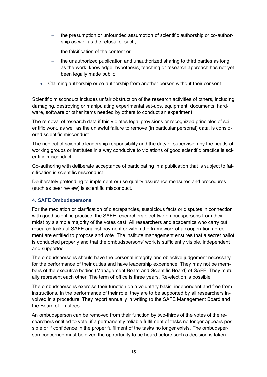- − the presumption or unfounded assumption of scientific authorship or co-authorship as well as the refusal of such,
- the falsification of the content or
- the unauthorized publication and unauthorized sharing to third parties as long as the work, knowledge, hypothesis, teaching or research approach has not yet been legally made public;
- Claiming authorship or co-authorship from another person without their consent.

Scientific misconduct includes unfair obstruction of the research activities of others, including damaging, destroying or manipulating experimental set-ups, equipment, documents, hardware, software or other items needed by others to conduct an experiment.

The removal of research data if this violates legal provisions or recognized principles of scientific work, as well as the unlawful failure to remove (in particular personal) data, is considered scientific misconduct.

The neglect of scientific leadership responsibility and the duty of supervision by the heads of working groups or institutes in a way conducive to violations of good scientific practice is scientific misconduct.

Co-authoring with deliberate acceptance of participating in a publication that is subject to falsification is scientific misconduct.

Deliberately pretending to implement or use quality assurance measures and procedures (such as peer review) is scientific misconduct.

## <span id="page-14-0"></span>**4. SAFE Ombudspersons**

For the mediation or clarification of discrepancies, suspicious facts or disputes in connection with good scientific practice, the SAFE researchers elect two ombudspersons from their midst by a simple majority of the votes cast. All researchers and academics who carry out research tasks at SAFE against payment or within the framework of a cooperation agreement are entitled to propose and vote. The institute management ensures that a secret ballot is conducted properly and that the ombudspersons' work is sufficiently visible, independent and supported.

The ombudspersons should have the personal integrity and objective judgement necessary for the performance of their duties and have leadership experience. They may not be members of the executive bodies (Management Board and Scientific Board) of SAFE. They mutually represent each other. The term of office is three years. Re-election is possible.

The ombudspersons exercise their function on a voluntary basis, independent and free from instructions. In the performance of their role, they are to be supported by all researchers involved in a procedure. They report annually in writing to the SAFE Management Board and the Board of Trustees.

An ombudsperson can be removed from their function by two-thirds of the votes of the researchers entitled to vote, if a permanently reliable fulfilment of tasks no longer appears possible or if confidence in the proper fulfilment of the tasks no longer exists. The ombudsperson concerned must be given the opportunity to be heard before such a decision is taken.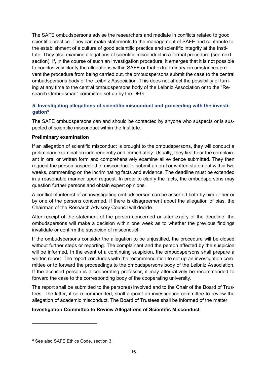The SAFE ombudspersons advise the researchers and mediate in conflicts related to good scientific practice. They can make statements to the management of SAFE and contribute to the establishment of a culture of good scientific practice and scientific integrity at the Institute. They also examine allegations of scientific misconduct in a formal procedure (see next section). If, in the course of such an investigation procedure, it emerges that it is not possible to conclusively clarify the allegations within SAFE or that extraordinary circumstances prevent the procedure from being carried out, the ombudspersons submit the case to the central ombudspersons body of the Leibniz Association. This does not affect the possibility of turning at any time to the central ombudspersons body of the Leibniz Association or to the "Research Ombudsman" committee set up by the DFG.

## <span id="page-15-0"></span>**5. Investigating allegations of scientific misconduct and proceeding with the investigatio[n6](#page-15-1)**

The SAFE ombudspersons can and should be contacted by anyone who suspects or is suspected of scientific misconduct within the Institute.

## **Preliminary examination**

If an allegation of scientific misconduct is brought to the ombudspersons, they will conduct a preliminary examination independently and immediately. Usually, they first hear the complainant in oral or written form and comprehensively examine all evidence submitted. They then request the person suspected of misconduct to submit an oral or written statement within two weeks, commenting on the incriminating facts and evidence. The deadline must be extended in a reasonable manner upon request. In order to clarify the facts, the ombudspersons may question further persons and obtain expert opinions.

A conflict of interest of an investigating ombudsperson can be asserted both by him or her or by one of the persons concerned. If there is disagreement about the allegation of bias, the Chairman of the Research Advisory Council will decide.

After receipt of the statement of the person concerned or after expiry of the deadline, the ombudspersons will make a decision within one week as to whether the previous findings invalidate or confirm the suspicion of misconduct.

If the ombudspersons consider the allegation to be unjustified, the procedure will be closed without further steps or reporting. The complainant and the person affected by the suspicion will be informed. In the event of a continuing suspicion, the ombudspersons shall prepare a written report. The report concludes with the recommendation to set up an investigation committee or to forward the proceedings to the ombudspersons body of the Leibniz Association. If the accused person is a cooperating professor, it may alternatively be recommended to forward the case to the corresponding body of the cooperating university.

The report shall be submitted to the person(s) involved and to the Chair of the Board of Trustees. The latter, if so recommended, shall appoint an investigation committee to review the allegation of academic misconduct. The Board of Trustees shall be informed of the matter.

## **Investigation Committee to Review Allegations of Scientific Misconduct**

<span id="page-15-1"></span><sup>6</sup> See also SAFE Ethics Code, section 3.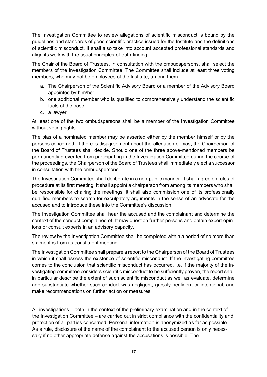The Investigation Committee to review allegations of scientific misconduct is bound by the guidelines and standards of good scientific practice issued for the Institute and the definitions of scientific misconduct. It shall also take into account accepted professional standards and align its work with the usual principles of truth-finding.

The Chair of the Board of Trustees, in consultation with the ombudspersons, shall select the members of the Investigation Committee. The Committee shall include at least three voting members, who may not be employees of the Institute, among them

- a. The Chairperson of the Scientific Advisory Board or a member of the Advisory Board appointed by him/her,
- b. one additional member who is qualified to comprehensively understand the scientific facts of the case,
- c. a lawyer.

At least one of the two ombudspersons shall be a member of the Investigation Committee without voting rights.

The bias of a nominated member may be asserted either by the member himself or by the persons concerned. If there is disagreement about the allegation of bias, the Chairperson of the Board of Trustees shall decide. Should one of the three above-mentioned members be permanently prevented from participating in the Investigation Committee during the course of the proceedings, the Chairperson of the Board of Trustees shall immediately elect a successor in consultation with the ombudspersons.

The Investigation Committee shall deliberate in a non-public manner. It shall agree on rules of procedure at its first meeting. It shall appoint a chairperson from among its members who shall be responsible for chairing the meetings. It shall also commission one of its professionally qualified members to search for exculpatory arguments in the sense of an advocate for the accused and to introduce these into the Committee's discussion.

The Investigation Committee shall hear the accused and the complainant and determine the context of the conduct complained of. It may question further persons and obtain expert opinions or consult experts in an advisory capacity.

The review by the Investigation Committee shall be completed within a period of no more than six months from its constituent meeting.

The Investigation Committee shall prepare a report to the Chairperson of the Board of Trustees in which it shall assess the existence of scientific misconduct. If the investigating committee comes to the conclusion that scientific misconduct has occurred, i.e. if the majority of the investigating committee considers scientific misconduct to be sufficiently proven, the report shall in particular describe the extent of such scientific misconduct as well as evaluate, determine and substantiate whether such conduct was negligent, grossly negligent or intentional, and make recommendations on further action or measures.

All investigations – both in the context of the preliminary examination and in the context of the Investigation Committee – are carried out in strict compliance with the confidentiality and protection of all parties concerned. Personal information is anonymized as far as possible. As a rule, disclosure of the name of the complainant to the accused person is only necessary if no other appropriate defense against the accusations is possible. The